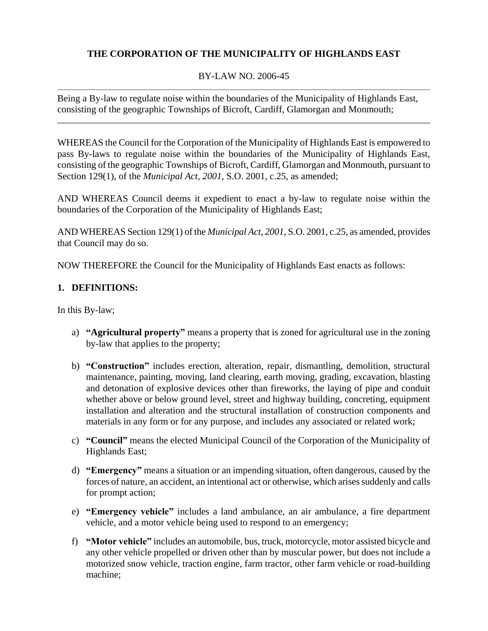# **THE CORPORATION OF THE MUNICIPALITY OF HIGHLANDS EAST**

# BY-LAW NO. 2006-45

Being a By-law to regulate noise within the boundaries of the Municipality of Highlands East, consisting of the geographic Townships of Bicroft, Cardiff, Glamorgan and Monmouth;

WHEREAS the Council for the Corporation of the Municipality of Highlands East is empowered to pass By-laws to regulate noise within the boundaries of the Municipality of Highlands East, consisting of the geographic Townships of Bicroft, Cardiff, Glamorgan and Monmouth, pursuant to Section 129(1), of the *Municipal Act, 2001*, S.O. 2001, c.25, as amended;

AND WHEREAS Council deems it expedient to enact a by-law to regulate noise within the boundaries of the Corporation of the Municipality of Highlands East;

AND WHEREAS Section 129(1) of the *Municipal Act, 2001*, S.O. 2001, c.25, as amended, provides that Council may do so.

NOW THEREFORE the Council for the Municipality of Highlands East enacts as follows:

# **1. DEFINITIONS:**

In this By-law;

- a) **"Agricultural property"** means a property that is zoned for agricultural use in the zoning by-law that applies to the property;
- b) **"Construction"** includes erection, alteration, repair, dismantling, demolition, structural maintenance, painting, moving, land clearing, earth moving, grading, excavation, blasting and detonation of explosive devices other than fireworks, the laying of pipe and conduit whether above or below ground level, street and highway building, concreting, equipment installation and alteration and the structural installation of construction components and materials in any form or for any purpose, and includes any associated or related work;
- c) **"Council"** means the elected Municipal Council of the Corporation of the Municipality of Highlands East;
- d) **"Emergency"** means a situation or an impending situation, often dangerous, caused by the forces of nature, an accident, an intentional act or otherwise, which arises suddenly and calls for prompt action;
- e) **"Emergency vehicle"** includes a land ambulance, an air ambulance, a fire department vehicle, and a motor vehicle being used to respond to an emergency;
- f) **"Motor vehicle"** includes an automobile, bus, truck, motorcycle, motor assisted bicycle and any other vehicle propelled or driven other than by muscular power, but does not include a motorized snow vehicle, traction engine, farm tractor, other farm vehicle or road-building machine;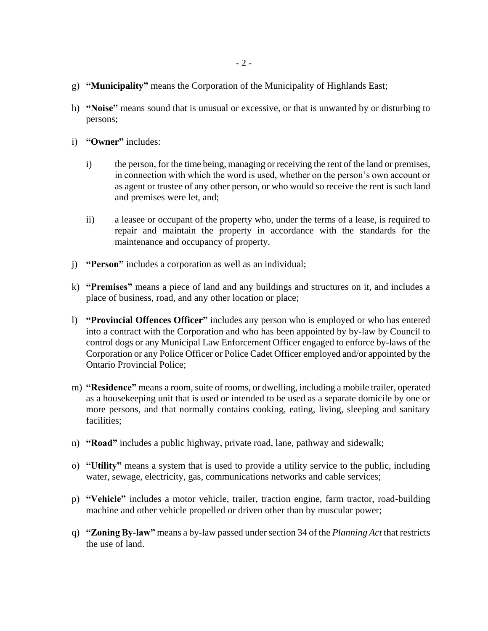- g) **"Municipality"** means the Corporation of the Municipality of Highlands East;
- h) **"Noise"** means sound that is unusual or excessive, or that is unwanted by or disturbing to persons;
- i) **"Owner"** includes:
	- i) the person, for the time being, managing or receiving the rent of the land or premises, in connection with which the word is used, whether on the person's own account or as agent or trustee of any other person, or who would so receive the rent is such land and premises were let, and;
	- ii) a leasee or occupant of the property who, under the terms of a lease, is required to repair and maintain the property in accordance with the standards for the maintenance and occupancy of property.
- j) **"Person"** includes a corporation as well as an individual;
- k) **"Premises"** means a piece of land and any buildings and structures on it, and includes a place of business, road, and any other location or place;
- l) **"Provincial Offences Officer"** includes any person who is employed or who has entered into a contract with the Corporation and who has been appointed by by-law by Council to control dogs or any Municipal Law Enforcement Officer engaged to enforce by-laws of the Corporation or any Police Officer or Police Cadet Officer employed and/or appointed by the Ontario Provincial Police;
- m) **"Residence"** means a room, suite of rooms, or dwelling, including a mobile trailer, operated as a housekeeping unit that is used or intended to be used as a separate domicile by one or more persons, and that normally contains cooking, eating, living, sleeping and sanitary facilities;
- n) **"Road"** includes a public highway, private road, lane, pathway and sidewalk;
- o) **"Utility"** means a system that is used to provide a utility service to the public, including water, sewage, electricity, gas, communications networks and cable services;
- p) **"Vehicle"** includes a motor vehicle, trailer, traction engine, farm tractor, road-building machine and other vehicle propelled or driven other than by muscular power;
- q) **"Zoning By-law"** means a by-law passed under section 34 of the *Planning Act* that restricts the use of land.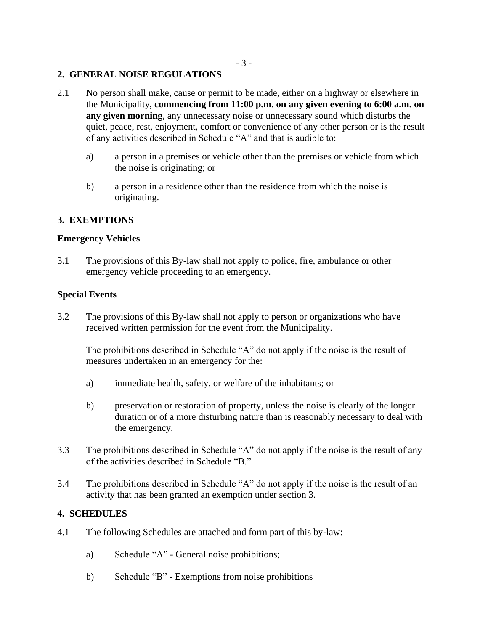## **2. GENERAL NOISE REGULATIONS**

- 2.1 No person shall make, cause or permit to be made, either on a highway or elsewhere in the Municipality, **commencing from 11:00 p.m. on any given evening to 6:00 a.m. on any given morning**, any unnecessary noise or unnecessary sound which disturbs the quiet, peace, rest, enjoyment, comfort or convenience of any other person or is the result of any activities described in Schedule "A" and that is audible to:
	- a) a person in a premises or vehicle other than the premises or vehicle from which the noise is originating; or
	- b) a person in a residence other than the residence from which the noise is originating.

# **3. EXEMPTIONS**

## **Emergency Vehicles**

3.1 The provisions of this By-law shall not apply to police, fire, ambulance or other emergency vehicle proceeding to an emergency.

## **Special Events**

3.2 The provisions of this By-law shall not apply to person or organizations who have received written permission for the event from the Municipality.

The prohibitions described in Schedule "A" do not apply if the noise is the result of measures undertaken in an emergency for the:

- a) immediate health, safety, or welfare of the inhabitants; or
- b) preservation or restoration of property, unless the noise is clearly of the longer duration or of a more disturbing nature than is reasonably necessary to deal with the emergency.
- 3.3 The prohibitions described in Schedule "A" do not apply if the noise is the result of any of the activities described in Schedule "B."
- 3.4 The prohibitions described in Schedule "A" do not apply if the noise is the result of an activity that has been granted an exemption under section 3.

## **4. SCHEDULES**

- 4.1 The following Schedules are attached and form part of this by-law:
	- a) Schedule "A" General noise prohibitions;
	- b) Schedule "B" Exemptions from noise prohibitions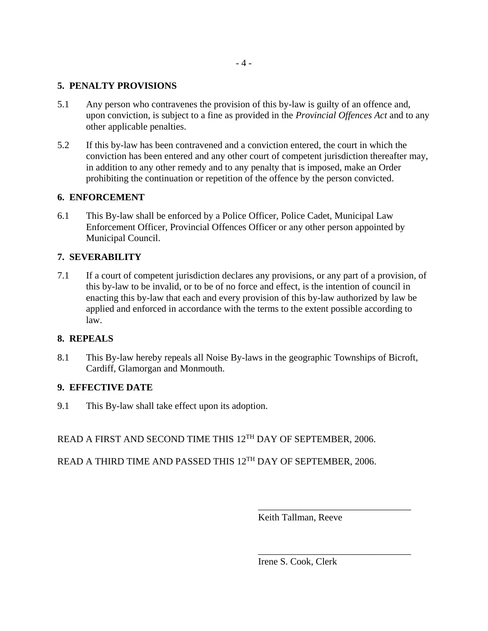## **5. PENALTY PROVISIONS**

- 5.1 Any person who contravenes the provision of this by-law is guilty of an offence and, upon conviction, is subject to a fine as provided in the *Provincial Offences Act* and to any other applicable penalties.
- 5.2 If this by-law has been contravened and a conviction entered, the court in which the conviction has been entered and any other court of competent jurisdiction thereafter may, in addition to any other remedy and to any penalty that is imposed, make an Order prohibiting the continuation or repetition of the offence by the person convicted.

# **6. ENFORCEMENT**

6.1 This By-law shall be enforced by a Police Officer, Police Cadet, Municipal Law Enforcement Officer, Provincial Offences Officer or any other person appointed by Municipal Council.

# **7. SEVERABILITY**

7.1 If a court of competent jurisdiction declares any provisions, or any part of a provision, of this by-law to be invalid, or to be of no force and effect, is the intention of council in enacting this by-law that each and every provision of this by-law authorized by law be applied and enforced in accordance with the terms to the extent possible according to law.

## **8. REPEALS**

8.1 This By-law hereby repeals all Noise By-laws in the geographic Townships of Bicroft, Cardiff, Glamorgan and Monmouth.

# **9. EFFECTIVE DATE**

9.1 This By-law shall take effect upon its adoption.

READ A FIRST AND SECOND TIME THIS 12<sup>TH</sup> DAY OF SEPTEMBER. 2006.

READ A THIRD TIME AND PASSED THIS 12<sup>TH</sup> DAY OF SEPTEMBER, 2006.

Keith Tallman, Reeve

\_\_\_\_\_\_\_\_\_\_\_\_\_\_\_\_\_\_\_\_\_\_\_\_\_\_\_\_\_\_\_\_

\_\_\_\_\_\_\_\_\_\_\_\_\_\_\_\_\_\_\_\_\_\_\_\_\_\_\_\_\_\_\_\_

Irene S. Cook, Clerk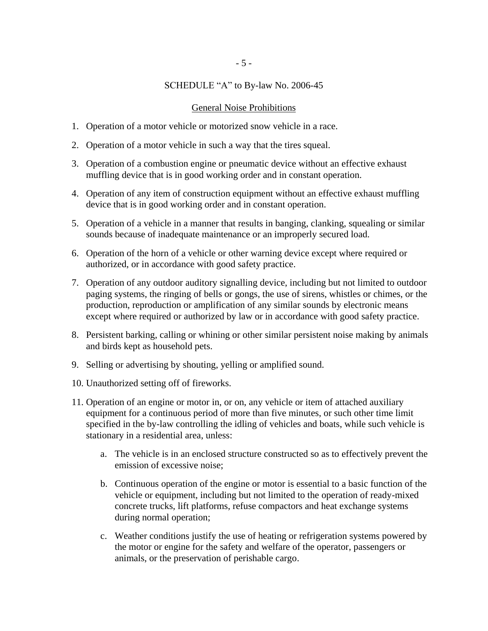# SCHEDULE "A" to By-law No. 2006-45

#### General Noise Prohibitions

- 1. Operation of a motor vehicle or motorized snow vehicle in a race.
- 2. Operation of a motor vehicle in such a way that the tires squeal.
- 3. Operation of a combustion engine or pneumatic device without an effective exhaust muffling device that is in good working order and in constant operation.
- 4. Operation of any item of construction equipment without an effective exhaust muffling device that is in good working order and in constant operation.
- 5. Operation of a vehicle in a manner that results in banging, clanking, squealing or similar sounds because of inadequate maintenance or an improperly secured load.
- 6. Operation of the horn of a vehicle or other warning device except where required or authorized, or in accordance with good safety practice.
- 7. Operation of any outdoor auditory signalling device, including but not limited to outdoor paging systems, the ringing of bells or gongs, the use of sirens, whistles or chimes, or the production, reproduction or amplification of any similar sounds by electronic means except where required or authorized by law or in accordance with good safety practice.
- 8. Persistent barking, calling or whining or other similar persistent noise making by animals and birds kept as household pets.
- 9. Selling or advertising by shouting, yelling or amplified sound.
- 10. Unauthorized setting off of fireworks.
- 11. Operation of an engine or motor in, or on, any vehicle or item of attached auxiliary equipment for a continuous period of more than five minutes, or such other time limit specified in the by-law controlling the idling of vehicles and boats, while such vehicle is stationary in a residential area, unless:
	- a. The vehicle is in an enclosed structure constructed so as to effectively prevent the emission of excessive noise;
	- b. Continuous operation of the engine or motor is essential to a basic function of the vehicle or equipment, including but not limited to the operation of ready-mixed concrete trucks, lift platforms, refuse compactors and heat exchange systems during normal operation;
	- c. Weather conditions justify the use of heating or refrigeration systems powered by the motor or engine for the safety and welfare of the operator, passengers or animals, or the preservation of perishable cargo.